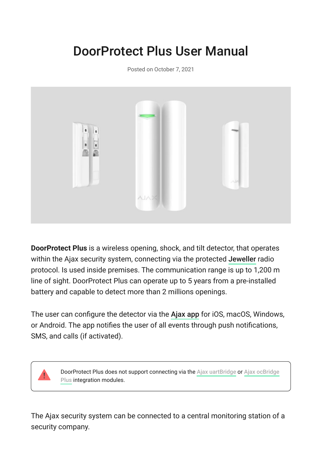# DoorProtect Plus User Manual

Posted on October 7, 2021



**DoorProtect Plus** is a wireless opening, shock, and tilt detector, that operates withinthe Ajax security system, connecting via the protected Jeweller radio protocol. Is used inside premises. The communication range is up to 1,200 m line of sight. DoorProtect Plus can operate up to 5 years from a pre-installed battery and capable to detect more than 2 millions openings.

Theuser can configure the detector via the Ajax app for iOS, macOS, Windows, or Android. The app notifies the user of all events through push notifications, SMS, and calls (if activated).



DoorProtect Plus does not support connecting via the Ajax uartBridge or Ajax ocBridge Plus integration modules.

The Ajax security system can be connected to a central monitoring station of a security company.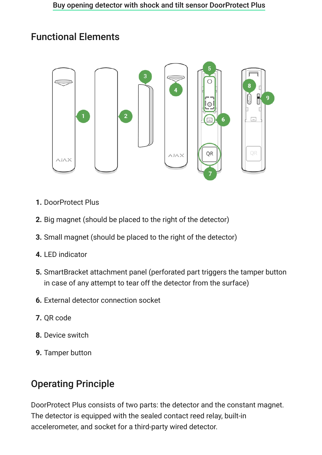## Functional Elements



- **1.** DoorProtect Plus
- **2.** Big magnet (should be placed to the right of the detector)
- **3.** Small magnet (should be placed to the right of the detector)
- **4.** LED indicator
- **5.** SmartBracket attachment panel (perforated part triggers the tamper button in case of any attempt to tear off the detector from the surface)
- **6.** External detector connection socket
- **7.** QR code
- **8.** Device switch
- **9.** Tamper button

# Operating Principle

DoorProtect Plus consists of two parts: the detector and the constant magnet. The detector is equipped with the sealed contact reed relay, built-in accelerometer, and socket for a third-party wired detector.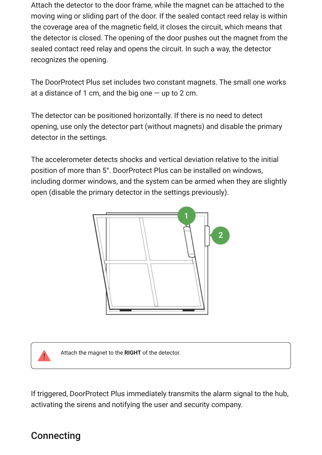Attach the detector to the door frame, while the magnet can be attached to the moving wing or sliding part of the door. If the sealed contact reed relay is within the coverage area of the magnetic field, it closes the circuit, which means that the detector is closed. The opening of the door pushes out the magnet from the sealed contact reed relay and opens the circuit. In such a way, the detector recognizes the opening.

The DoorProtect Plus set includes two constant magnets. The small one works at a distance of 1 cm, and the big one  $-$  up to 2 cm.

The detector can be positioned horizontally. If there is no need to detect opening, use only the detector part (without magnets) and disable the primary detector in the settings.

The accelerometer detects shocks and vertical deviation relative to the initial position of more than 5°. DoorProtect Plus can be installed on windows, including dormer windows, and the system can be armed when they are slightly open (disable the primary detector in the settings рreviously).





Attach the magnet to the **RIGHT** of the detector.

If triggered, DoorProtect Plus immediately transmits the alarm signal to the hub, activating the sirens and notifying the user and security company.

## **Connecting**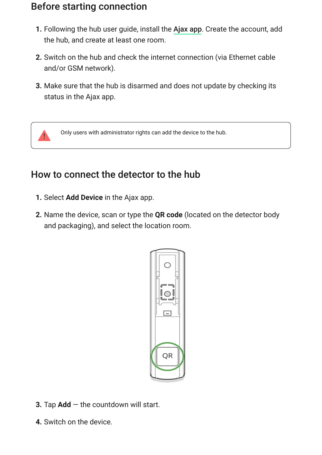## Before starting connection

- **1.** Following the hub user guide, install the Ajax app. Create the account, add the hub, and create at least one room.
- **2.** Switch on the hub and check the internet connection (via Ethernet cable and/or GSM network).
- **3.** Make sure that the hub is disarmed and does not update by checking its status in the Ajax app.



Only users with administrator rights can add the device to the hub.

# How to connect the detector to the hub

- **1.** Select **Add Device** in the Ajax app.
- **2.** Name the device, scan or type the **QR code** (located on the detector body and packaging), and select the location room.



- **3.** Tap **Add** the countdown will start.
- **4.** Switch on the device.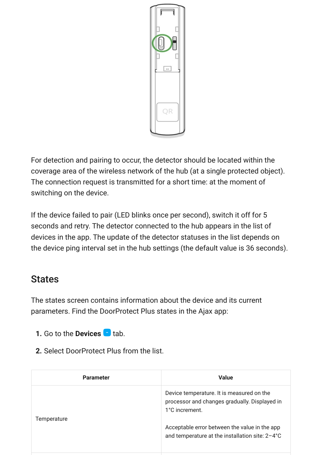

For detection and pairing to occur, the detector should be located within the coverage area of the wireless network of the hub (at a single protected object). The connection request is transmitted for a short time: at the moment of switching on the device.

If the device failed to pair (LED blinks once per second), switch it off for 5 seconds and retry. The detector connected to the hub appears in the list of devices in the app. The update of the detector statuses in the list depends on the device ping interval set in the hub settings (the default value is 36 seconds).

## **States**

The states screen contains information about the device and its current parameters. Find the DoorProtect Plus states in the Ajax app:

- **1.** Go to the **Devices t** tab.
- **2.** Select DoorProtect Plus from the list.

| <b>Parameter</b> | <b>Value</b>                                                                                                 |
|------------------|--------------------------------------------------------------------------------------------------------------|
| Temperature      | Device temperature. It is measured on the<br>processor and changes gradually. Displayed in<br>1°C increment. |
|                  | Acceptable error between the value in the app<br>and temperature at the installation site: 2-4°C             |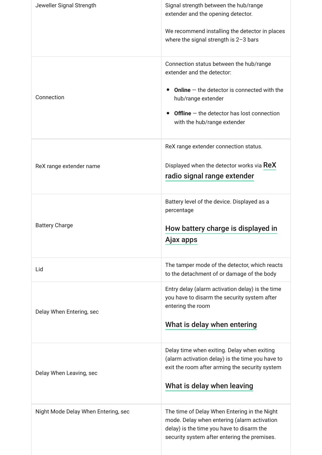| Jeweller Signal Strength            | Signal strength between the hub/range<br>extender and the opening detector.                                                                                                              |
|-------------------------------------|------------------------------------------------------------------------------------------------------------------------------------------------------------------------------------------|
|                                     | We recommend installing the detector in places<br>where the signal strength is $2-3$ bars                                                                                                |
|                                     | Connection status between the hub/range<br>extender and the detector:                                                                                                                    |
| Connection                          | <b>Online</b> $-$ the detector is connected with the<br>hub/range extender                                                                                                               |
|                                     | <b>Offline</b> $-$ the detector has lost connection<br>with the hub/range extender                                                                                                       |
|                                     | ReX range extender connection status.                                                                                                                                                    |
| ReX range extender name             | Displayed when the detector works via ReX<br>radio signal range extender                                                                                                                 |
| <b>Battery Charge</b>               | Battery level of the device. Displayed as a<br>percentage                                                                                                                                |
|                                     | How battery charge is displayed in<br>Ajax apps<br><u>. . </u>                                                                                                                           |
| Lid                                 | The tamper mode of the detector, which reacts<br>to the detachment of or damage of the body                                                                                              |
| Delay When Entering, sec            | Entry delay (alarm activation delay) is the time<br>you have to disarm the security system after<br>entering the room                                                                    |
|                                     | What is delay when entering                                                                                                                                                              |
| Delay When Leaving, sec             | Delay time when exiting. Delay when exiting<br>(alarm activation delay) is the time you have to<br>exit the room after arming the security system                                        |
|                                     | What is delay when leaving                                                                                                                                                               |
| Night Mode Delay When Entering, sec | The time of Delay When Entering in the Night<br>mode. Delay when entering (alarm activation<br>delay) is the time you have to disarm the<br>security system after entering the premises. |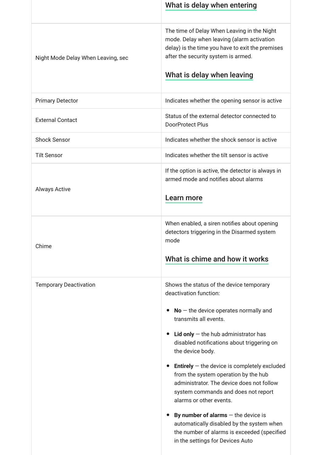|                                    | What is delay when entering                                                                                                                                                                                                                                                                                                                                                                                                                                                                                                                                                                                                                                           |
|------------------------------------|-----------------------------------------------------------------------------------------------------------------------------------------------------------------------------------------------------------------------------------------------------------------------------------------------------------------------------------------------------------------------------------------------------------------------------------------------------------------------------------------------------------------------------------------------------------------------------------------------------------------------------------------------------------------------|
| Night Mode Delay When Leaving, sec | The time of Delay When Leaving in the Night<br>mode. Delay when leaving (alarm activation<br>delay) is the time you have to exit the premises<br>after the security system is armed.<br>What is delay when leaving                                                                                                                                                                                                                                                                                                                                                                                                                                                    |
| <b>Primary Detector</b>            | Indicates whether the opening sensor is active                                                                                                                                                                                                                                                                                                                                                                                                                                                                                                                                                                                                                        |
| <b>External Contact</b>            | Status of the external detector connected to<br><b>DoorProtect Plus</b>                                                                                                                                                                                                                                                                                                                                                                                                                                                                                                                                                                                               |
| <b>Shock Sensor</b>                | Indicates whether the shock sensor is active                                                                                                                                                                                                                                                                                                                                                                                                                                                                                                                                                                                                                          |
| <b>Tilt Sensor</b>                 | Indicates whether the tilt sensor is active                                                                                                                                                                                                                                                                                                                                                                                                                                                                                                                                                                                                                           |
| <b>Always Active</b>               | If the option is active, the detector is always in<br>armed mode and notifies about alarms<br>Learn more                                                                                                                                                                                                                                                                                                                                                                                                                                                                                                                                                              |
| Chime                              | When enabled, a siren notifies about opening<br>detectors triggering in the Disarmed system<br>mode<br>What is chime and how it works                                                                                                                                                                                                                                                                                                                                                                                                                                                                                                                                 |
| <b>Temporary Deactivation</b>      | Shows the status of the device temporary<br>deactivation function:<br>$No$ – the device operates normally and<br>$\bullet$<br>transmits all events.<br>Lid only $-$ the hub administrator has<br>disabled notifications about triggering on<br>the device body.<br><b>Entirely</b> $-$ the device is completely excluded<br>$\bullet$<br>from the system operation by the hub<br>administrator. The device does not follow<br>system commands and does not report<br>alarms or other events.<br>By number of alarms $-$ the device is<br>automatically disabled by the system when<br>the number of alarms is exceeded (specified<br>in the settings for Devices Auto |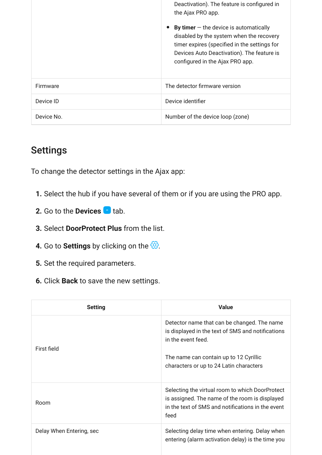|            | Deactivation). The feature is configured in<br>the Ajax PRO app.<br>By timer $-$ the device is automatically<br>disabled by the system when the recovery<br>timer expires (specified in the settings for<br>Devices Auto Deactivation). The feature is<br>configured in the Ajax PRO app. |
|------------|-------------------------------------------------------------------------------------------------------------------------------------------------------------------------------------------------------------------------------------------------------------------------------------------|
| Firmware   | The detector firmware version                                                                                                                                                                                                                                                             |
| Device ID  | Device identifier                                                                                                                                                                                                                                                                         |
| Device No. | Number of the device loop (zone)                                                                                                                                                                                                                                                          |

# Settings

To change the detector settings in the Ajax app:

- **1.** Select the hub if you have several of them or if you are using the PRO app.
- **2.** Go to the **Devices t** tab.
- **3.** Select **DoorProtect Plus** from the list.
- **4.** Go to **Settings** by clicking on the  $\ddot{\otimes}$ .
- **5.** Set the required parameters.
- **6.** Click **Back** to save the new settings.

| <b>Setting</b>           | <b>Value</b>                                                                                                                                                   |
|--------------------------|----------------------------------------------------------------------------------------------------------------------------------------------------------------|
| First field              | Detector name that can be changed. The name<br>is displayed in the text of SMS and notifications<br>in the event feed.                                         |
|                          | The name can contain up to 12 Cyrillic<br>characters or up to 24 Latin characters                                                                              |
| Room                     | Selecting the virtual room to which DoorProtect<br>is assigned. The name of the room is displayed<br>in the text of SMS and notifications in the event<br>feed |
| Delay When Entering, sec | Selecting delay time when entering. Delay when<br>entering (alarm activation delay) is the time you                                                            |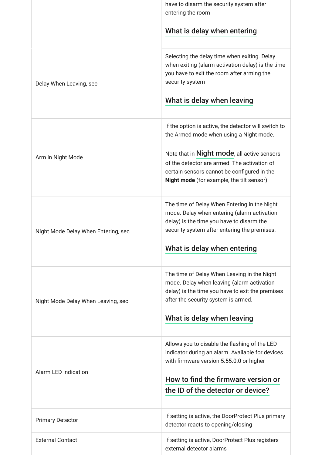|                                     | have to disarm the security system after<br>entering the room                                                                                                                                                             |
|-------------------------------------|---------------------------------------------------------------------------------------------------------------------------------------------------------------------------------------------------------------------------|
|                                     | What is delay when entering                                                                                                                                                                                               |
| Delay When Leaving, sec             | Selecting the delay time when exiting. Delay<br>when exiting (alarm activation delay) is the time<br>you have to exit the room after arming the<br>security system                                                        |
|                                     | What is delay when leaving                                                                                                                                                                                                |
|                                     | If the option is active, the detector will switch to<br>the Armed mode when using a Night mode.                                                                                                                           |
| Arm in Night Mode                   | Note that in <b>Night mode</b> , all active sensors<br>of the detector are armed. The activation of<br>certain sensors cannot be configured in the<br><b>Night mode</b> (for example, the tilt sensor)                    |
| Night Mode Delay When Entering, sec | The time of Delay When Entering in the Night<br>mode. Delay when entering (alarm activation<br>delay) is the time you have to disarm the<br>security system after entering the premises.<br>What is delay when entering   |
|                                     |                                                                                                                                                                                                                           |
| Night Mode Delay When Leaving, sec  | The time of Delay When Leaving in the Night<br>mode. Delay when leaving (alarm activation<br>delay) is the time you have to exit the premises<br>after the security system is armed.                                      |
|                                     | What is delay when leaving                                                                                                                                                                                                |
| <b>Alarm LED indication</b>         | Allows you to disable the flashing of the LED<br>indicator during an alarm. Available for devices<br>with firmware version 5.55.0.0 or higher<br>How to find the firmware version or<br>the ID of the detector or device? |
| <b>Primary Detector</b>             | If setting is active, the DoorProtect Plus primary<br>detector reacts to opening/closing                                                                                                                                  |
| <b>External Contact</b>             | If setting is active, DoorProtect Plus registers<br>external detector alarms                                                                                                                                              |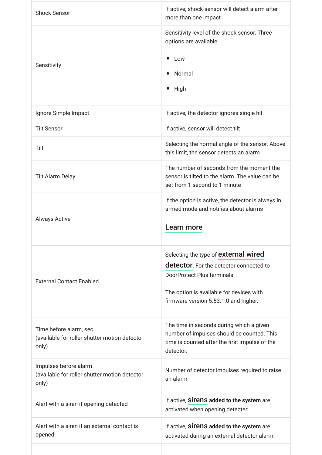| <b>Shock Sensor</b>                                                              | If active, shock-sensor will detect alarm after<br>more than one impact                                                                                                                                            |
|----------------------------------------------------------------------------------|--------------------------------------------------------------------------------------------------------------------------------------------------------------------------------------------------------------------|
| Sensitivity                                                                      | Sensitivity level of the shock sensor. Three<br>options are available:<br>Low<br>$\bullet$<br>Normal<br>$\bullet$<br>High<br>$\bullet$                                                                             |
| Ignore Simple Impact                                                             | If active, the detector ignores single hit                                                                                                                                                                         |
| <b>Tilt Sensor</b>                                                               | If active, sensor will detect tilt                                                                                                                                                                                 |
| Tilt                                                                             | Selecting the normal angle of the sensor. Above<br>this limit, the sensor detects an alarm                                                                                                                         |
| <b>Tilt Alarm Delay</b>                                                          | The number of seconds from the moment the<br>sensor is tilted to the alarm. The value can be<br>set from 1 second to 1 minute                                                                                      |
| <b>Always Active</b>                                                             | If the option is active, the detector is always in<br>armed mode and notifies about alarms<br>Learn more                                                                                                           |
| <b>External Contact Enabled</b>                                                  | Selecting the type of <b>external wired</b><br><b>detector</b> . For the detector connected to<br>DoorProtect Plus terminals.<br>The option is available for devices with<br>firmware version 5.53.1.0 and higher. |
| Time before alarm, sec<br>(available for roller shutter motion detector<br>only) | The time in seconds during which a given<br>number of impulses should be counted. This<br>time is counted after the first impulse of the<br>detector.                                                              |
| Impulses before alarm<br>(available for roller shutter motion detector<br>only)  | Number of detector impulses required to raise<br>an alarm                                                                                                                                                          |
| Alert with a siren if opening detected                                           | If active, Sirens added to the system are<br>activated when opening detected                                                                                                                                       |
| Alert with a siren if an external contact is<br>opened                           | If active, Sirens added to the system are<br>activated during an external detector alarm                                                                                                                           |
|                                                                                  |                                                                                                                                                                                                                    |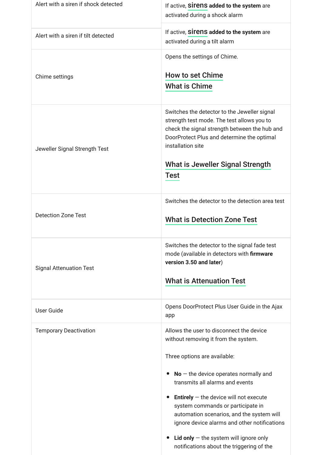| Alert with a siren if shock detected | If active, SITENS added to the system are<br>activated during a shock alarm                                                                                                                                                                                                                                                                                                                                                                                                  |
|--------------------------------------|------------------------------------------------------------------------------------------------------------------------------------------------------------------------------------------------------------------------------------------------------------------------------------------------------------------------------------------------------------------------------------------------------------------------------------------------------------------------------|
| Alert with a siren if tilt detected  | If active, Sirens added to the system are<br>activated during a tilt alarm                                                                                                                                                                                                                                                                                                                                                                                                   |
| Chime settings                       | Opens the settings of Chime.<br>How to set Chime<br><b>What is Chime</b>                                                                                                                                                                                                                                                                                                                                                                                                     |
| Jeweller Signal Strength Test        | Switches the detector to the Jeweller signal<br>strength test mode. The test allows you to<br>check the signal strength between the hub and<br>DoorProtect Plus and determine the optimal<br>installation site<br><b>What is Jeweller Signal Strength</b><br><b>Test</b>                                                                                                                                                                                                     |
| <b>Detection Zone Test</b>           | Switches the detector to the detection area test<br><b>What is Detection Zone Test</b>                                                                                                                                                                                                                                                                                                                                                                                       |
| <b>Signal Attenuation Test</b>       | Switches the detector to the signal fade test<br>mode (available in detectors with firmware<br>version 3.50 and later)<br><b>What is Attenuation Test</b>                                                                                                                                                                                                                                                                                                                    |
| <b>User Guide</b>                    | Opens DoorProtect Plus User Guide in the Ajax<br>app                                                                                                                                                                                                                                                                                                                                                                                                                         |
| <b>Temporary Deactivation</b>        | Allows the user to disconnect the device<br>without removing it from the system.<br>Three options are available:<br>$No$ – the device operates normally and<br>transmits all alarms and events<br><b>Entirely</b> $-$ the device will not execute<br>system commands or participate in<br>automation scenarios, and the system will<br>ignore device alarms and other notifications<br>Lid only $-$ the system will ignore only<br>notifications about the triggering of the |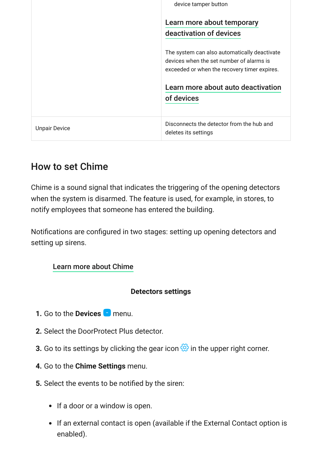|                      | device tamper button                                                                                  |
|----------------------|-------------------------------------------------------------------------------------------------------|
|                      | Learn more about temporary<br>deactivation of devices<br>The system can also automatically deactivate |
|                      | devices when the set number of alarms is<br>exceeded or when the recovery timer expires.              |
|                      |                                                                                                       |
|                      | Learn more about auto deactivation                                                                    |
|                      | of devices                                                                                            |
|                      |                                                                                                       |
| <b>Unpair Device</b> | Disconnects the detector from the hub and<br>deletes its settings                                     |

### <span id="page-11-0"></span>How to set Chime

Chime is a sound signal that indicates the triggering of the opening detectors when the system is disarmed. The feature is used, for example, in stores, to notify employees that someone has entered the building.

Notifications are configured in two stages: setting up opening detectors and setting up sirens.

#### [Learn more about Chime](https://support.ajax.systems/en/what-is-opening-alerts/)

#### **Detectors settings**

- **1.** Go to the **Devices n** menu.
- **2.** Select the DoorProtect Plus detector.
- **3.** Go to its settings by clicking the gear icon  $\mathcal{O}_1$  in the upper right corner.
- **4.** Go to the **Chime Settings** menu.
- **5.** Select the events to be notified by the siren:
	- If a door or a window is open.
	- If an external contact is open (available if the External Contact option is enabled).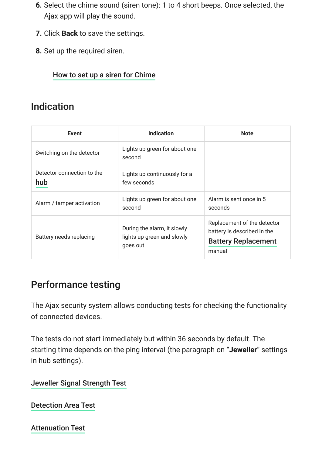- **6.** Select the chime sound (siren tone): 1 to 4 short beeps. Once selected, the Ajax app will play the sound.
- **7.** Click **Back** to save the settings.
- **8.** Set up the required siren.

#### [How to set up a siren for Chime](https://support.ajax.systems/en/what-is-opening-alerts/#block3)

## Indication

| Event                             | <b>Indication</b>                                                     | <b>Note</b>                                                                                        |
|-----------------------------------|-----------------------------------------------------------------------|----------------------------------------------------------------------------------------------------|
| Switching on the detector         | Lights up green for about one<br>second                               |                                                                                                    |
| Detector connection to the<br>hub | Lights up continuously for a<br>few seconds                           |                                                                                                    |
| Alarm / tamper activation         | Lights up green for about one<br>second                               | Alarm is sent once in 5<br>seconds                                                                 |
| Battery needs replacing           | During the alarm, it slowly<br>lights up green and slowly<br>goes out | Replacement of the detector<br>battery is described in the<br><b>Battery Replacement</b><br>manual |

# Performance testing

The Ajax security system allows conducting tests for checking the functionality of connected devices.

The tests do not start immediately but within 36 seconds by default. The starting time depends on the ping interval (the paragraph on "**Jeweller**" settings in hub settings).

[Jeweller Signal Strength Test](https://support.ajax.systems/en/what-is-signal-strenght-test/)

[Detection Area Test](https://support.ajax.systems/en/what-is-detection-zone-test/)

[Attenuation Test](https://support.ajax.systems/en/what-is-attenuation-test/)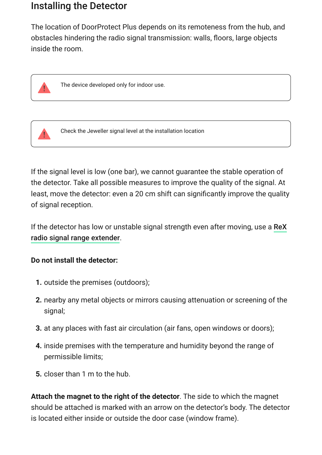### Installing the Detector

The location of DoorProtect Plus depends on its remoteness from the hub, and obstacles hindering the radio signal transmission: walls, floors, large objects inside the room.



The device developed only for indoor use.



Check the Jeweller signal level at the installation location

If the signal level is low (one bar), we cannot guarantee the stable operation of the detector. Take all possible measures to improve the quality of the signal. At least, move the detector: even a 20 cm shift can significantly improve the quality of signal reception.

[If the detector has low or unstable signal strength even after moving, use a](https://ajax.systems/products/rex/) ReX . radio signal range extender

#### **Do not install the detector:**

- **1.** outside the premises (outdoors);
- **2.** nearby any metal objects or mirrors causing attenuation or screening of the signal;
- **3.** at any places with fast air circulation (air fans, open windows or doors);
- **4.** inside premises with the temperature and humidity beyond the range of permissible limits;
- **5.** closer than 1 m to the hub.

**Attach the magnet to the right of the detector**. The side to which the magnet should be attached is marked with an arrow on the detector's body. The detector is located either inside or outside the door case (window frame).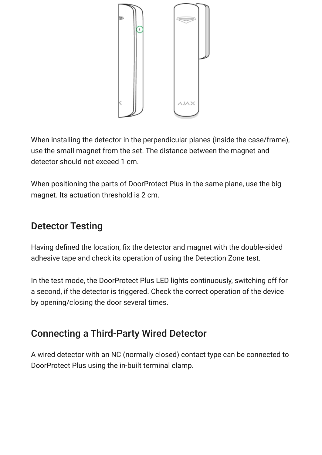

When installing the detector in the perpendicular planes (inside the case/frame), use the small magnet from the set. The distance between the magnet and detector should not exceed 1 cm.

When positioning the parts of DoorProtect Plus in the same plane, use the big magnet. Its actuation threshold is 2 cm.

# Detector Testing

Having defined the location, fix the detector and magnet with the double-sided adhesive tape and check its operation of using the Detection Zone test.

In the test mode, the DoorProtect Plus LED lights continuously, switching off for a second, if the detector is triggered. Check the correct operation of the device by opening/closing the door several times.

# <span id="page-14-0"></span>Connecting a Third-Party Wired Detector

A wired detector with an NC (normally closed) contact type can be connected to DoorProtect Plus using the in-built terminal clamp.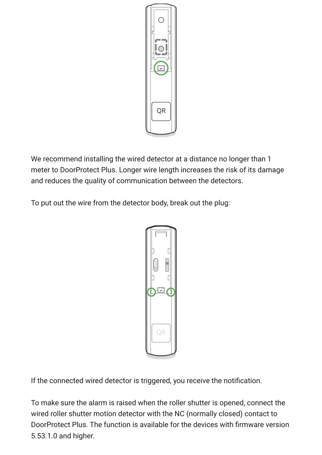

We recommend installing the wired detector at a distance no longer than 1 meter to DoorProtect Plus. Longer wire length increases the risk of its damage and reduces the quality of communication between the detectors.

To put out the wire from the detector body, break out the plug:



If the connected wired detector is triggered, you receive the notification.

To make sure the alarm is raised when the roller shutter is opened, connect the wired roller shutter motion detector with the NC (normally closed) contact to DoorProtect Plus. The function is available for the devices with firmware version 5.53.1.0 and higher.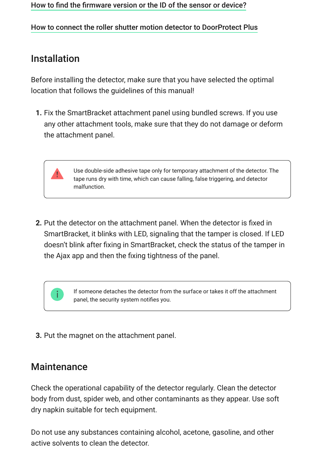#### [How to find the firmware version or the ID of the sensor or device?](https://support.ajax.systems/en/faqs/device-firmware-version/)

#### [How to connect the roller shutter motion detector to DoorProtect Plus](https://support.ajax.systems/en/roller-shutter-to-doorprotect-plus/)

### Installation

Before installing the detector, make sure that you have selected the optimal location that follows the guidelines of this manual!

**1.** Fix the SmartBracket attachment panel using bundled screws. If you use any other attachment tools, make sure that they do not damage or deform the attachment panel.

> Use double-side adhesive tape only for temporary attachment of the detector. The tape runs dry with time, which can cause falling, false triggering, and detector malfunction.

**2.** Put the detector on the attachment panel. When the detector is fixed in SmartBracket, it blinks with LED, signaling that the tamper is closed. If LED doesn't blink after fixing in SmartBracket, check the status of the tamper in the Ajax app and then the fixing tightness of the panel.

> If someone detaches the detector from the surface or takes it off the attachment panel, the security system notifies you.

**3.** Put the magnet on the attachment panel.

### **Maintenance**

Check the operational capability of the detector regularly. Clean the detector body from dust, spider web, and other contaminants as they appear. Use soft dry napkin suitable for tech equipment.

Do not use any substances containing alcohol, acetone, gasoline, and other active solvents to clean the detector.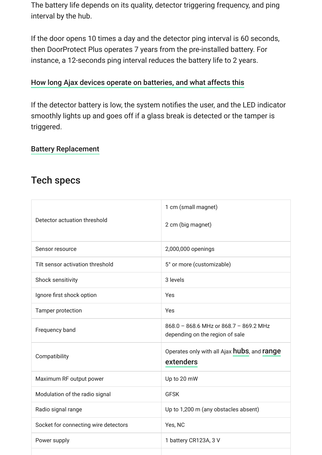The battery life depends on its quality, detector triggering frequency, and ping interval by the hub.

If the door opens 10 times a day and the detector ping interval is 60 seconds, then DoorProtect Plus operates 7 years from the pre-installed battery. For instance, a 12-seconds ping interval reduces the battery life to 2 years.

#### [How long Ajax devices operate on batteries, and what affects this](https://support.ajax.systems/en/how-long-operate-from-batteries/)

If the detector battery is low, the system notifies the user, and the LED indicator smoothly lights up and goes off if a glass break is detected or the tamper is triggered.

#### [Battery Replacement](https://support.ajax.systems/en/how-to-replace-batteries-in-doorprotect-plus/)

### Tech specs

| Detector actuation threshold         | 1 cm (small magnet)<br>2 cm (big magnet)                                  |
|--------------------------------------|---------------------------------------------------------------------------|
| Sensor resource                      | 2,000,000 openings                                                        |
| Tilt sensor activation threshold     | 5° or more (customizable)                                                 |
| Shock sensitivity                    | 3 levels                                                                  |
| Ignore first shock option            | Yes                                                                       |
| Tamper protection                    | Yes                                                                       |
| Frequency band                       | 868.0 - 868.6 MHz or 868.7 - 869.2 MHz<br>depending on the region of sale |
| Compatibility                        | Operates only with all Ajax hubs, and range<br>extenders                  |
| Maximum RF output power              | Up to 20 mW                                                               |
| Modulation of the radio signal       | <b>GFSK</b>                                                               |
| Radio signal range                   | Up to 1,200 m (any obstacles absent)                                      |
| Socket for connecting wire detectors | Yes, NC                                                                   |
| Power supply                         | 1 battery CR123A, 3 V                                                     |
|                                      |                                                                           |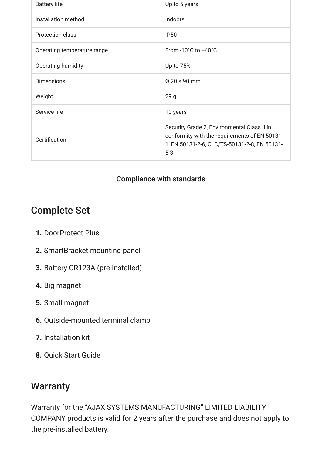| <b>Battery life</b>         | Up to 5 years                                                                                                                                         |
|-----------------------------|-------------------------------------------------------------------------------------------------------------------------------------------------------|
| Installation method         | Indoors                                                                                                                                               |
| Protection class            | <b>IP50</b>                                                                                                                                           |
| Operating temperature range | From -10°C to +40°C                                                                                                                                   |
| Operating humidity          | Up to 75%                                                                                                                                             |
| <b>Dimensions</b>           | $\varnothing$ 20 $\times$ 90 mm                                                                                                                       |
| Weight                      | 29 <sub>g</sub>                                                                                                                                       |
| Service life                | 10 years                                                                                                                                              |
| Certification               | Security Grade 2, Environmental Class II in<br>conformity with the requirements of EN 50131-<br>1, EN 50131-2-6, CLC/TS-50131-2-8, EN 50131-<br>$5-3$ |

#### [Compliance with standards](https://ajax.systems/standards/)

## Complete Set

- **1.** DoorProtect Plus
- **2.** SmartBracket mounting panel
- **3.** Battery CR123A (pre-installed)
- **4.** Big magnet
- **5.** Small magnet
- **6.** Outside-mounted terminal clamp
- **7.** Installation kit
- **8.** Quick Start Guide

### **Warranty**

Warranty for the "AJAX SYSTEMS MANUFACTURING" LIMITED LIABILITY COMPANY products is valid for 2 years after the purchase and does not apply to the pre-installed battery.